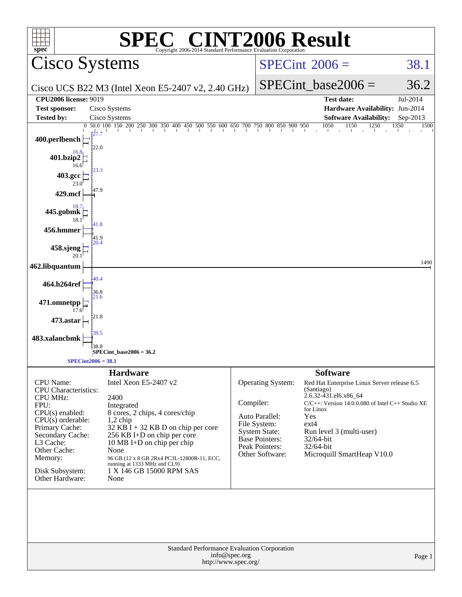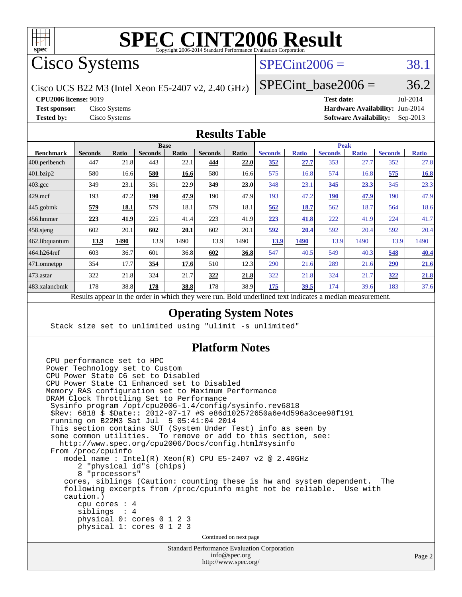

Cisco Systems

### $SPECint2006 = 38.1$  $SPECint2006 = 38.1$

Cisco UCS B22 M3 (Intel Xeon E5-2407 v2, 2.40 GHz)

SPECint base2006 =  $36.2$ 

**[CPU2006 license:](http://www.spec.org/auto/cpu2006/Docs/result-fields.html#CPU2006license)** 9019 **[Test date:](http://www.spec.org/auto/cpu2006/Docs/result-fields.html#Testdate)** Jul-2014

**[Test sponsor:](http://www.spec.org/auto/cpu2006/Docs/result-fields.html#Testsponsor)** Cisco Systems **[Hardware Availability:](http://www.spec.org/auto/cpu2006/Docs/result-fields.html#HardwareAvailability)** Jun-2014 **[Tested by:](http://www.spec.org/auto/cpu2006/Docs/result-fields.html#Testedby)** Cisco Systems **[Software Availability:](http://www.spec.org/auto/cpu2006/Docs/result-fields.html#SoftwareAvailability)** Sep-2013

#### **[Results Table](http://www.spec.org/auto/cpu2006/Docs/result-fields.html#ResultsTable)**

|                      | <b>Base</b>                                                   |              |                |       |                |              |                                           | <b>Peak</b>  |                |              |                |              |  |
|----------------------|---------------------------------------------------------------|--------------|----------------|-------|----------------|--------------|-------------------------------------------|--------------|----------------|--------------|----------------|--------------|--|
| <b>Benchmark</b>     | <b>Seconds</b>                                                | <b>Ratio</b> | <b>Seconds</b> | Ratio | <b>Seconds</b> | <b>Ratio</b> | <b>Seconds</b>                            | <b>Ratio</b> | <b>Seconds</b> | <b>Ratio</b> | <b>Seconds</b> | <b>Ratio</b> |  |
| 400.perlbench        | 447                                                           | 21.8         | 443            | 22.1  | 444            | 22.0         | 352                                       | 27.7         | 353            | 27.7         | 352            | 27.8         |  |
| 401.bzip2            | 580                                                           | 16.6         | 580            | 16.6  | 580            | 16.6         | 575                                       | 16.8         | 574            | 16.8         | 575            | 16.8         |  |
| $403.\text{gcc}$     | 349                                                           | 23.1         | 351            | 22.9  | 349            | 23.0         | 348                                       | 23.1         | 345            | 23.3         | 345            | 23.3         |  |
| $429$ .mcf           | 193                                                           | 47.2         | 190            | 47.9  | 190            | 47.9         | 193                                       | 47.2         | 190            | 47.9         | 190            | 47.9         |  |
| $ 445.\text{gobmk} $ | 579                                                           | 18.1         | 579            | 18.1  | 579            | 18.1         | 562                                       | 18.7         | 562            | 18.7         | 564            | 18.6         |  |
| $456.$ hmmer         | 223                                                           | 41.9         | 225            | 41.4  | 223            | 41.9         | 223                                       | 41.8         | 222            | 41.9         | 224            | 41.7         |  |
| $458$ .sjeng         | 602                                                           | 20.1         | 602            | 20.1  | 602            | 20.1         | 592                                       | 20.4         | 592            | 20.4         | 592            | 20.4         |  |
| 462.libquantum       | 13.9                                                          | 1490         | 13.9           | 1490  | 13.9           | 1490         | 13.9                                      | 1490         | 13.9           | 1490         | 13.9           | 1490         |  |
| 464.h264ref          | 603                                                           | 36.7         | 601            | 36.8  | 602            | 36.8         | 547                                       | 40.5         | 549            | 40.3         | 548            | 40.4         |  |
| 471.omnetpp          | 354                                                           | 17.7         | 354            | 17.6  | 510            | 12.3         | 290                                       | 21.6         | 289            | 21.6         | 290            | 21.6         |  |
| $ 473$ . astar       | 322                                                           | 21.8         | 324            | 21.7  | 322            | 21.8         | 322                                       | 21.8         | 324            | 21.7         | 322            | 21.8         |  |
| 483.xalancbmk        | 178                                                           | 38.8         | 178            | 38.8  | 178            | 38.9         | 175                                       | 39.5         | 174            | 39.6         | 183            | 37.6         |  |
|                      | Describe encourage in the conduction withink these weeks more |              |                |       |                |              | Deld condentined test indicates a medical |              |                |              |                |              |  |

Results appear in the [order in which they were run.](http://www.spec.org/auto/cpu2006/Docs/result-fields.html#RunOrder) Bold underlined text [indicates a median measurement.](http://www.spec.org/auto/cpu2006/Docs/result-fields.html#Median)

#### **[Operating System Notes](http://www.spec.org/auto/cpu2006/Docs/result-fields.html#OperatingSystemNotes)**

Stack size set to unlimited using "ulimit -s unlimited"

#### **[Platform Notes](http://www.spec.org/auto/cpu2006/Docs/result-fields.html#PlatformNotes)**

```
Standard Performance Evaluation Corporation
                                      info@spec.org
CPU performance set to HPC
Power Technology set to Custom
CPU Power State C6 set to Disabled
CPU Power State C1 Enhanced set to Disabled
Memory RAS configuration set to Maximum Performance
DRAM Clock Throttling Set to Performance
  Sysinfo program /opt/cpu2006-1.4/config/sysinfo.rev6818
  $Rev: 6818 $ $Date:: 2012-07-17 #$ e86d102572650a6e4d596a3cee98f191
  running on B22M3 Sat Jul 5 05:41:04 2014
  This section contains SUT (System Under Test) info as seen by
  some common utilities. To remove or add to this section, see:
    http://www.spec.org/cpu2006/Docs/config.html#sysinfo
  From /proc/cpuinfo
     model name : Intel(R) Xeon(R) CPU E5-2407 v2 @ 2.40GHz
        2 "physical id"s (chips)
        8 "processors"
     cores, siblings (Caution: counting these is hw and system dependent. The
     following excerpts from /proc/cpuinfo might not be reliable. Use with
     caution.)
        cpu cores : 4
        siblings : 4
        physical 0: cores 0 1 2 3
        physical 1: cores 0 1 2 3
                                    Continued on next page
```
<http://www.spec.org/>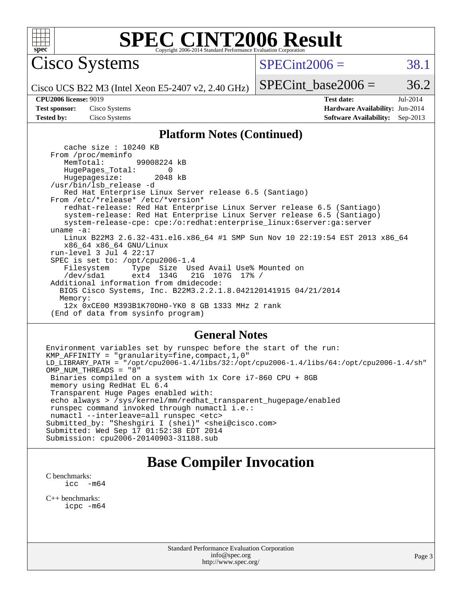

Cisco Systems

 $SPECint2006 = 38.1$  $SPECint2006 = 38.1$ 

Cisco UCS B22 M3 (Intel Xeon E5-2407 v2, 2.40 GHz)

SPECint base2006 =  $36.2$ 

**[CPU2006 license:](http://www.spec.org/auto/cpu2006/Docs/result-fields.html#CPU2006license)** 9019 **[Test date:](http://www.spec.org/auto/cpu2006/Docs/result-fields.html#Testdate)** Jul-2014 **[Test sponsor:](http://www.spec.org/auto/cpu2006/Docs/result-fields.html#Testsponsor)** Cisco Systems **[Hardware Availability:](http://www.spec.org/auto/cpu2006/Docs/result-fields.html#HardwareAvailability)** Jun-2014 **[Tested by:](http://www.spec.org/auto/cpu2006/Docs/result-fields.html#Testedby)** Cisco Systems **[Software Availability:](http://www.spec.org/auto/cpu2006/Docs/result-fields.html#SoftwareAvailability)** Sep-2013

#### **[Platform Notes \(Continued\)](http://www.spec.org/auto/cpu2006/Docs/result-fields.html#PlatformNotes)**

 cache size : 10240 KB From /proc/meminfo MemTotal: 99008224 kB HugePages\_Total: 0<br>Hugepagesize: 2048 kB Hugepagesize: /usr/bin/lsb\_release -d Red Hat Enterprise Linux Server release 6.5 (Santiago) From /etc/\*release\* /etc/\*version\* redhat-release: Red Hat Enterprise Linux Server release 6.5 (Santiago) system-release: Red Hat Enterprise Linux Server release 6.5 (Santiago) system-release-cpe: cpe:/o:redhat:enterprise\_linux:6server:ga:server uname -a: Linux B22M3 2.6.32-431.el6.x86\_64 #1 SMP Sun Nov 10 22:19:54 EST 2013 x86\_64 x86\_64 x86\_64 GNU/Linux run-level 3 Jul 4 22:17 SPEC is set to: /opt/cpu2006-1.4<br>Filesystem Type Size Us Type Size Used Avail Use% Mounted on /dev/sda1 ext4 134G 21G 107G 17% / Additional information from dmidecode: BIOS Cisco Systems, Inc. B22M3.2.2.1.8.042120141915 04/21/2014 Memory: 12x 0xCE00 M393B1K70DH0-YK0 8 GB 1333 MHz 2 rank (End of data from sysinfo program)

#### **[General Notes](http://www.spec.org/auto/cpu2006/Docs/result-fields.html#GeneralNotes)**

Environment variables set by runspec before the start of the run: KMP\_AFFINITY = "granularity=fine,compact,1,0" LD\_LIBRARY\_PATH = "/opt/cpu2006-1.4/libs/32:/opt/cpu2006-1.4/libs/64:/opt/cpu2006-1.4/sh" OMP\_NUM\_THREADS = "8" Binaries compiled on a system with 1x Core i7-860 CPU + 8GB memory using RedHat EL 6.4 Transparent Huge Pages enabled with: echo always > /sys/kernel/mm/redhat\_transparent\_hugepage/enabled runspec command invoked through numactl i.e.: numactl --interleave=all runspec <etc> Submitted\_by: "Sheshgiri I (shei)" <shei@cisco.com> Submitted: Wed Sep 17 01:52:38 EDT 2014 Submission: cpu2006-20140903-31188.sub

#### **[Base Compiler Invocation](http://www.spec.org/auto/cpu2006/Docs/result-fields.html#BaseCompilerInvocation)**

[C benchmarks](http://www.spec.org/auto/cpu2006/Docs/result-fields.html#Cbenchmarks):<br> $\frac{icc}{c}$  $-m64$ 

[C++ benchmarks:](http://www.spec.org/auto/cpu2006/Docs/result-fields.html#CXXbenchmarks) [icpc -m64](http://www.spec.org/cpu2006/results/res2014q3/cpu2006-20140903-31188.flags.html#user_CXXbase_intel_icpc_64bit_fc66a5337ce925472a5c54ad6a0de310)

> Standard Performance Evaluation Corporation [info@spec.org](mailto:info@spec.org) <http://www.spec.org/>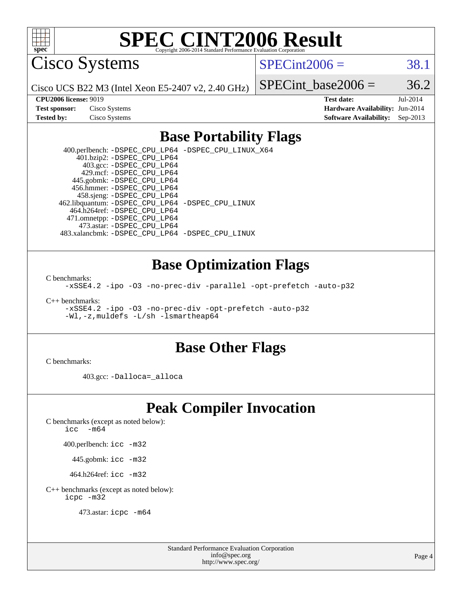

Cisco Systems

 $SPECint2006 = 38.1$  $SPECint2006 = 38.1$ 

Cisco UCS B22 M3 (Intel Xeon E5-2407 v2, 2.40 GHz)

SPECint base2006 =  $36.2$ 

| <b>Test sponsor:</b> | Cisco Systems |
|----------------------|---------------|
| <b>Tested by:</b>    | Cisco Systems |

**[CPU2006 license:](http://www.spec.org/auto/cpu2006/Docs/result-fields.html#CPU2006license)** 9019 **[Test date:](http://www.spec.org/auto/cpu2006/Docs/result-fields.html#Testdate)** Jul-2014 **[Hardware Availability:](http://www.spec.org/auto/cpu2006/Docs/result-fields.html#HardwareAvailability)** Jun-2014 **[Software Availability:](http://www.spec.org/auto/cpu2006/Docs/result-fields.html#SoftwareAvailability)** Sep-2013

#### **[Base Portability Flags](http://www.spec.org/auto/cpu2006/Docs/result-fields.html#BasePortabilityFlags)**

 400.perlbench: [-DSPEC\\_CPU\\_LP64](http://www.spec.org/cpu2006/results/res2014q3/cpu2006-20140903-31188.flags.html#b400.perlbench_basePORTABILITY_DSPEC_CPU_LP64) [-DSPEC\\_CPU\\_LINUX\\_X64](http://www.spec.org/cpu2006/results/res2014q3/cpu2006-20140903-31188.flags.html#b400.perlbench_baseCPORTABILITY_DSPEC_CPU_LINUX_X64) 401.bzip2: [-DSPEC\\_CPU\\_LP64](http://www.spec.org/cpu2006/results/res2014q3/cpu2006-20140903-31188.flags.html#suite_basePORTABILITY401_bzip2_DSPEC_CPU_LP64) 403.gcc: [-DSPEC\\_CPU\\_LP64](http://www.spec.org/cpu2006/results/res2014q3/cpu2006-20140903-31188.flags.html#suite_basePORTABILITY403_gcc_DSPEC_CPU_LP64) 429.mcf: [-DSPEC\\_CPU\\_LP64](http://www.spec.org/cpu2006/results/res2014q3/cpu2006-20140903-31188.flags.html#suite_basePORTABILITY429_mcf_DSPEC_CPU_LP64) 445.gobmk: [-DSPEC\\_CPU\\_LP64](http://www.spec.org/cpu2006/results/res2014q3/cpu2006-20140903-31188.flags.html#suite_basePORTABILITY445_gobmk_DSPEC_CPU_LP64) 456.hmmer: [-DSPEC\\_CPU\\_LP64](http://www.spec.org/cpu2006/results/res2014q3/cpu2006-20140903-31188.flags.html#suite_basePORTABILITY456_hmmer_DSPEC_CPU_LP64) 458.sjeng: [-DSPEC\\_CPU\\_LP64](http://www.spec.org/cpu2006/results/res2014q3/cpu2006-20140903-31188.flags.html#suite_basePORTABILITY458_sjeng_DSPEC_CPU_LP64) 462.libquantum: [-DSPEC\\_CPU\\_LP64](http://www.spec.org/cpu2006/results/res2014q3/cpu2006-20140903-31188.flags.html#suite_basePORTABILITY462_libquantum_DSPEC_CPU_LP64) [-DSPEC\\_CPU\\_LINUX](http://www.spec.org/cpu2006/results/res2014q3/cpu2006-20140903-31188.flags.html#b462.libquantum_baseCPORTABILITY_DSPEC_CPU_LINUX) 464.h264ref: [-DSPEC\\_CPU\\_LP64](http://www.spec.org/cpu2006/results/res2014q3/cpu2006-20140903-31188.flags.html#suite_basePORTABILITY464_h264ref_DSPEC_CPU_LP64) 471.omnetpp: [-DSPEC\\_CPU\\_LP64](http://www.spec.org/cpu2006/results/res2014q3/cpu2006-20140903-31188.flags.html#suite_basePORTABILITY471_omnetpp_DSPEC_CPU_LP64) 473.astar: [-DSPEC\\_CPU\\_LP64](http://www.spec.org/cpu2006/results/res2014q3/cpu2006-20140903-31188.flags.html#suite_basePORTABILITY473_astar_DSPEC_CPU_LP64) 483.xalancbmk: [-DSPEC\\_CPU\\_LP64](http://www.spec.org/cpu2006/results/res2014q3/cpu2006-20140903-31188.flags.html#suite_basePORTABILITY483_xalancbmk_DSPEC_CPU_LP64) [-DSPEC\\_CPU\\_LINUX](http://www.spec.org/cpu2006/results/res2014q3/cpu2006-20140903-31188.flags.html#b483.xalancbmk_baseCXXPORTABILITY_DSPEC_CPU_LINUX)

#### **[Base Optimization Flags](http://www.spec.org/auto/cpu2006/Docs/result-fields.html#BaseOptimizationFlags)**

[C benchmarks](http://www.spec.org/auto/cpu2006/Docs/result-fields.html#Cbenchmarks):

[-xSSE4.2](http://www.spec.org/cpu2006/results/res2014q3/cpu2006-20140903-31188.flags.html#user_CCbase_f-xSSE42_f91528193cf0b216347adb8b939d4107) [-ipo](http://www.spec.org/cpu2006/results/res2014q3/cpu2006-20140903-31188.flags.html#user_CCbase_f-ipo) [-O3](http://www.spec.org/cpu2006/results/res2014q3/cpu2006-20140903-31188.flags.html#user_CCbase_f-O3) [-no-prec-div](http://www.spec.org/cpu2006/results/res2014q3/cpu2006-20140903-31188.flags.html#user_CCbase_f-no-prec-div) [-parallel](http://www.spec.org/cpu2006/results/res2014q3/cpu2006-20140903-31188.flags.html#user_CCbase_f-parallel) [-opt-prefetch](http://www.spec.org/cpu2006/results/res2014q3/cpu2006-20140903-31188.flags.html#user_CCbase_f-opt-prefetch) [-auto-p32](http://www.spec.org/cpu2006/results/res2014q3/cpu2006-20140903-31188.flags.html#user_CCbase_f-auto-p32)

[C++ benchmarks:](http://www.spec.org/auto/cpu2006/Docs/result-fields.html#CXXbenchmarks)

[-xSSE4.2](http://www.spec.org/cpu2006/results/res2014q3/cpu2006-20140903-31188.flags.html#user_CXXbase_f-xSSE42_f91528193cf0b216347adb8b939d4107) [-ipo](http://www.spec.org/cpu2006/results/res2014q3/cpu2006-20140903-31188.flags.html#user_CXXbase_f-ipo) [-O3](http://www.spec.org/cpu2006/results/res2014q3/cpu2006-20140903-31188.flags.html#user_CXXbase_f-O3) [-no-prec-div](http://www.spec.org/cpu2006/results/res2014q3/cpu2006-20140903-31188.flags.html#user_CXXbase_f-no-prec-div) [-opt-prefetch](http://www.spec.org/cpu2006/results/res2014q3/cpu2006-20140903-31188.flags.html#user_CXXbase_f-opt-prefetch) [-auto-p32](http://www.spec.org/cpu2006/results/res2014q3/cpu2006-20140903-31188.flags.html#user_CXXbase_f-auto-p32) [-Wl,-z,muldefs](http://www.spec.org/cpu2006/results/res2014q3/cpu2006-20140903-31188.flags.html#user_CXXbase_link_force_multiple1_74079c344b956b9658436fd1b6dd3a8a) [-L/sh -lsmartheap64](http://www.spec.org/cpu2006/results/res2014q3/cpu2006-20140903-31188.flags.html#user_CXXbase_SmartHeap64_ed4ef857ce90951921efb0d91eb88472)

#### **[Base Other Flags](http://www.spec.org/auto/cpu2006/Docs/result-fields.html#BaseOtherFlags)**

[C benchmarks](http://www.spec.org/auto/cpu2006/Docs/result-fields.html#Cbenchmarks):

403.gcc: [-Dalloca=\\_alloca](http://www.spec.org/cpu2006/results/res2014q3/cpu2006-20140903-31188.flags.html#b403.gcc_baseEXTRA_CFLAGS_Dalloca_be3056838c12de2578596ca5467af7f3)

### **[Peak Compiler Invocation](http://www.spec.org/auto/cpu2006/Docs/result-fields.html#PeakCompilerInvocation)**

[C benchmarks \(except as noted below\)](http://www.spec.org/auto/cpu2006/Docs/result-fields.html#Cbenchmarksexceptasnotedbelow):

[icc -m64](http://www.spec.org/cpu2006/results/res2014q3/cpu2006-20140903-31188.flags.html#user_CCpeak_intel_icc_64bit_f346026e86af2a669e726fe758c88044)

400.perlbench: [icc -m32](http://www.spec.org/cpu2006/results/res2014q3/cpu2006-20140903-31188.flags.html#user_peakCCLD400_perlbench_intel_icc_a6a621f8d50482236b970c6ac5f55f93)

445.gobmk: [icc -m32](http://www.spec.org/cpu2006/results/res2014q3/cpu2006-20140903-31188.flags.html#user_peakCCLD445_gobmk_intel_icc_a6a621f8d50482236b970c6ac5f55f93)

464.h264ref: [icc -m32](http://www.spec.org/cpu2006/results/res2014q3/cpu2006-20140903-31188.flags.html#user_peakCCLD464_h264ref_intel_icc_a6a621f8d50482236b970c6ac5f55f93)

[C++ benchmarks \(except as noted below\):](http://www.spec.org/auto/cpu2006/Docs/result-fields.html#CXXbenchmarksexceptasnotedbelow) [icpc -m32](http://www.spec.org/cpu2006/results/res2014q3/cpu2006-20140903-31188.flags.html#user_CXXpeak_intel_icpc_4e5a5ef1a53fd332b3c49e69c3330699)

473.astar: [icpc -m64](http://www.spec.org/cpu2006/results/res2014q3/cpu2006-20140903-31188.flags.html#user_peakCXXLD473_astar_intel_icpc_64bit_fc66a5337ce925472a5c54ad6a0de310)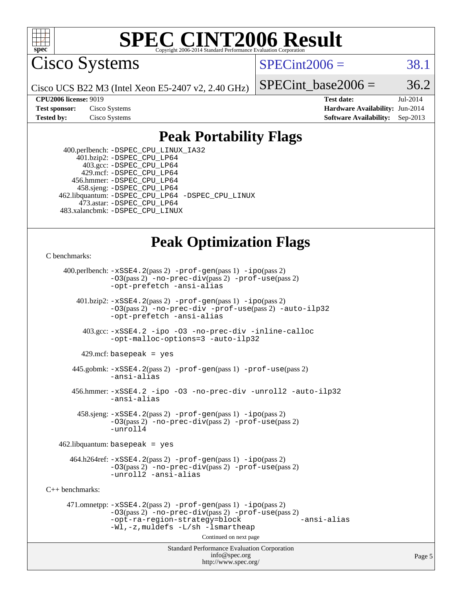

Cisco Systems

 $SPECint2006 = 38.1$  $SPECint2006 = 38.1$ 

Cisco UCS B22 M3 (Intel Xeon E5-2407 v2, 2.40 GHz)

SPECint base2006 =  $36.2$ 

**[CPU2006 license:](http://www.spec.org/auto/cpu2006/Docs/result-fields.html#CPU2006license)** 9019 **[Test date:](http://www.spec.org/auto/cpu2006/Docs/result-fields.html#Testdate)** Jul-2014 **[Test sponsor:](http://www.spec.org/auto/cpu2006/Docs/result-fields.html#Testsponsor)** Cisco Systems **[Hardware Availability:](http://www.spec.org/auto/cpu2006/Docs/result-fields.html#HardwareAvailability)** Jun-2014 **[Tested by:](http://www.spec.org/auto/cpu2006/Docs/result-fields.html#Testedby)** Cisco Systems **[Software Availability:](http://www.spec.org/auto/cpu2006/Docs/result-fields.html#SoftwareAvailability)** Sep-2013

### **[Peak Portability Flags](http://www.spec.org/auto/cpu2006/Docs/result-fields.html#PeakPortabilityFlags)**

 400.perlbench: [-DSPEC\\_CPU\\_LINUX\\_IA32](http://www.spec.org/cpu2006/results/res2014q3/cpu2006-20140903-31188.flags.html#b400.perlbench_peakCPORTABILITY_DSPEC_CPU_LINUX_IA32) 401.bzip2: [-DSPEC\\_CPU\\_LP64](http://www.spec.org/cpu2006/results/res2014q3/cpu2006-20140903-31188.flags.html#suite_peakPORTABILITY401_bzip2_DSPEC_CPU_LP64) 403.gcc: [-DSPEC\\_CPU\\_LP64](http://www.spec.org/cpu2006/results/res2014q3/cpu2006-20140903-31188.flags.html#suite_peakPORTABILITY403_gcc_DSPEC_CPU_LP64) 429.mcf: [-DSPEC\\_CPU\\_LP64](http://www.spec.org/cpu2006/results/res2014q3/cpu2006-20140903-31188.flags.html#suite_peakPORTABILITY429_mcf_DSPEC_CPU_LP64) 456.hmmer: [-DSPEC\\_CPU\\_LP64](http://www.spec.org/cpu2006/results/res2014q3/cpu2006-20140903-31188.flags.html#suite_peakPORTABILITY456_hmmer_DSPEC_CPU_LP64) 458.sjeng: [-DSPEC\\_CPU\\_LP64](http://www.spec.org/cpu2006/results/res2014q3/cpu2006-20140903-31188.flags.html#suite_peakPORTABILITY458_sjeng_DSPEC_CPU_LP64) 462.libquantum: [-DSPEC\\_CPU\\_LP64](http://www.spec.org/cpu2006/results/res2014q3/cpu2006-20140903-31188.flags.html#suite_peakPORTABILITY462_libquantum_DSPEC_CPU_LP64) [-DSPEC\\_CPU\\_LINUX](http://www.spec.org/cpu2006/results/res2014q3/cpu2006-20140903-31188.flags.html#b462.libquantum_peakCPORTABILITY_DSPEC_CPU_LINUX) 473.astar: [-DSPEC\\_CPU\\_LP64](http://www.spec.org/cpu2006/results/res2014q3/cpu2006-20140903-31188.flags.html#suite_peakPORTABILITY473_astar_DSPEC_CPU_LP64) 483.xalancbmk: [-DSPEC\\_CPU\\_LINUX](http://www.spec.org/cpu2006/results/res2014q3/cpu2006-20140903-31188.flags.html#b483.xalancbmk_peakCXXPORTABILITY_DSPEC_CPU_LINUX)

### **[Peak Optimization Flags](http://www.spec.org/auto/cpu2006/Docs/result-fields.html#PeakOptimizationFlags)**

[C benchmarks](http://www.spec.org/auto/cpu2006/Docs/result-fields.html#Cbenchmarks):

 400.perlbench: [-xSSE4.2](http://www.spec.org/cpu2006/results/res2014q3/cpu2006-20140903-31188.flags.html#user_peakPASS2_CFLAGSPASS2_LDCFLAGS400_perlbench_f-xSSE42_f91528193cf0b216347adb8b939d4107)(pass 2) [-prof-gen](http://www.spec.org/cpu2006/results/res2014q3/cpu2006-20140903-31188.flags.html#user_peakPASS1_CFLAGSPASS1_LDCFLAGS400_perlbench_prof_gen_e43856698f6ca7b7e442dfd80e94a8fc)(pass 1) [-ipo](http://www.spec.org/cpu2006/results/res2014q3/cpu2006-20140903-31188.flags.html#user_peakPASS2_CFLAGSPASS2_LDCFLAGS400_perlbench_f-ipo)(pass 2) [-O3](http://www.spec.org/cpu2006/results/res2014q3/cpu2006-20140903-31188.flags.html#user_peakPASS2_CFLAGSPASS2_LDCFLAGS400_perlbench_f-O3)(pass 2) [-no-prec-div](http://www.spec.org/cpu2006/results/res2014q3/cpu2006-20140903-31188.flags.html#user_peakPASS2_CFLAGSPASS2_LDCFLAGS400_perlbench_f-no-prec-div)(pass 2) [-prof-use](http://www.spec.org/cpu2006/results/res2014q3/cpu2006-20140903-31188.flags.html#user_peakPASS2_CFLAGSPASS2_LDCFLAGS400_perlbench_prof_use_bccf7792157ff70d64e32fe3e1250b55)(pass 2) [-opt-prefetch](http://www.spec.org/cpu2006/results/res2014q3/cpu2006-20140903-31188.flags.html#user_peakCOPTIMIZE400_perlbench_f-opt-prefetch) [-ansi-alias](http://www.spec.org/cpu2006/results/res2014q3/cpu2006-20140903-31188.flags.html#user_peakCOPTIMIZE400_perlbench_f-ansi-alias) 401.bzip2: [-xSSE4.2](http://www.spec.org/cpu2006/results/res2014q3/cpu2006-20140903-31188.flags.html#user_peakPASS2_CFLAGSPASS2_LDCFLAGS401_bzip2_f-xSSE42_f91528193cf0b216347adb8b939d4107)(pass 2) [-prof-gen](http://www.spec.org/cpu2006/results/res2014q3/cpu2006-20140903-31188.flags.html#user_peakPASS1_CFLAGSPASS1_LDCFLAGS401_bzip2_prof_gen_e43856698f6ca7b7e442dfd80e94a8fc)(pass 1) [-ipo](http://www.spec.org/cpu2006/results/res2014q3/cpu2006-20140903-31188.flags.html#user_peakPASS2_CFLAGSPASS2_LDCFLAGS401_bzip2_f-ipo)(pass 2) [-O3](http://www.spec.org/cpu2006/results/res2014q3/cpu2006-20140903-31188.flags.html#user_peakPASS2_CFLAGSPASS2_LDCFLAGS401_bzip2_f-O3)(pass 2) [-no-prec-div](http://www.spec.org/cpu2006/results/res2014q3/cpu2006-20140903-31188.flags.html#user_peakCOPTIMIZEPASS2_CFLAGSPASS2_LDCFLAGS401_bzip2_f-no-prec-div) [-prof-use](http://www.spec.org/cpu2006/results/res2014q3/cpu2006-20140903-31188.flags.html#user_peakPASS2_CFLAGSPASS2_LDCFLAGS401_bzip2_prof_use_bccf7792157ff70d64e32fe3e1250b55)(pass 2) [-auto-ilp32](http://www.spec.org/cpu2006/results/res2014q3/cpu2006-20140903-31188.flags.html#user_peakCOPTIMIZE401_bzip2_f-auto-ilp32) [-opt-prefetch](http://www.spec.org/cpu2006/results/res2014q3/cpu2006-20140903-31188.flags.html#user_peakCOPTIMIZE401_bzip2_f-opt-prefetch) [-ansi-alias](http://www.spec.org/cpu2006/results/res2014q3/cpu2006-20140903-31188.flags.html#user_peakCOPTIMIZE401_bzip2_f-ansi-alias) 403.gcc: [-xSSE4.2](http://www.spec.org/cpu2006/results/res2014q3/cpu2006-20140903-31188.flags.html#user_peakCOPTIMIZE403_gcc_f-xSSE42_f91528193cf0b216347adb8b939d4107) [-ipo](http://www.spec.org/cpu2006/results/res2014q3/cpu2006-20140903-31188.flags.html#user_peakCOPTIMIZE403_gcc_f-ipo) [-O3](http://www.spec.org/cpu2006/results/res2014q3/cpu2006-20140903-31188.flags.html#user_peakCOPTIMIZE403_gcc_f-O3) [-no-prec-div](http://www.spec.org/cpu2006/results/res2014q3/cpu2006-20140903-31188.flags.html#user_peakCOPTIMIZE403_gcc_f-no-prec-div) [-inline-calloc](http://www.spec.org/cpu2006/results/res2014q3/cpu2006-20140903-31188.flags.html#user_peakCOPTIMIZE403_gcc_f-inline-calloc) [-opt-malloc-options=3](http://www.spec.org/cpu2006/results/res2014q3/cpu2006-20140903-31188.flags.html#user_peakCOPTIMIZE403_gcc_f-opt-malloc-options_13ab9b803cf986b4ee62f0a5998c2238) [-auto-ilp32](http://www.spec.org/cpu2006/results/res2014q3/cpu2006-20140903-31188.flags.html#user_peakCOPTIMIZE403_gcc_f-auto-ilp32)  $429$ .mcf: basepeak = yes 445.gobmk: [-xSSE4.2](http://www.spec.org/cpu2006/results/res2014q3/cpu2006-20140903-31188.flags.html#user_peakPASS2_CFLAGSPASS2_LDCFLAGS445_gobmk_f-xSSE42_f91528193cf0b216347adb8b939d4107)(pass 2) [-prof-gen](http://www.spec.org/cpu2006/results/res2014q3/cpu2006-20140903-31188.flags.html#user_peakPASS1_CFLAGSPASS1_LDCFLAGS445_gobmk_prof_gen_e43856698f6ca7b7e442dfd80e94a8fc)(pass 1) [-prof-use](http://www.spec.org/cpu2006/results/res2014q3/cpu2006-20140903-31188.flags.html#user_peakPASS2_CFLAGSPASS2_LDCFLAGS445_gobmk_prof_use_bccf7792157ff70d64e32fe3e1250b55)(pass 2) [-ansi-alias](http://www.spec.org/cpu2006/results/res2014q3/cpu2006-20140903-31188.flags.html#user_peakCOPTIMIZE445_gobmk_f-ansi-alias) 456.hmmer: [-xSSE4.2](http://www.spec.org/cpu2006/results/res2014q3/cpu2006-20140903-31188.flags.html#user_peakCOPTIMIZE456_hmmer_f-xSSE42_f91528193cf0b216347adb8b939d4107) [-ipo](http://www.spec.org/cpu2006/results/res2014q3/cpu2006-20140903-31188.flags.html#user_peakCOPTIMIZE456_hmmer_f-ipo) [-O3](http://www.spec.org/cpu2006/results/res2014q3/cpu2006-20140903-31188.flags.html#user_peakCOPTIMIZE456_hmmer_f-O3) [-no-prec-div](http://www.spec.org/cpu2006/results/res2014q3/cpu2006-20140903-31188.flags.html#user_peakCOPTIMIZE456_hmmer_f-no-prec-div) [-unroll2](http://www.spec.org/cpu2006/results/res2014q3/cpu2006-20140903-31188.flags.html#user_peakCOPTIMIZE456_hmmer_f-unroll_784dae83bebfb236979b41d2422d7ec2) [-auto-ilp32](http://www.spec.org/cpu2006/results/res2014q3/cpu2006-20140903-31188.flags.html#user_peakCOPTIMIZE456_hmmer_f-auto-ilp32) [-ansi-alias](http://www.spec.org/cpu2006/results/res2014q3/cpu2006-20140903-31188.flags.html#user_peakCOPTIMIZE456_hmmer_f-ansi-alias) 458.sjeng: [-xSSE4.2](http://www.spec.org/cpu2006/results/res2014q3/cpu2006-20140903-31188.flags.html#user_peakPASS2_CFLAGSPASS2_LDCFLAGS458_sjeng_f-xSSE42_f91528193cf0b216347adb8b939d4107)(pass 2) [-prof-gen](http://www.spec.org/cpu2006/results/res2014q3/cpu2006-20140903-31188.flags.html#user_peakPASS1_CFLAGSPASS1_LDCFLAGS458_sjeng_prof_gen_e43856698f6ca7b7e442dfd80e94a8fc)(pass 1) [-ipo](http://www.spec.org/cpu2006/results/res2014q3/cpu2006-20140903-31188.flags.html#user_peakPASS2_CFLAGSPASS2_LDCFLAGS458_sjeng_f-ipo)(pass 2) [-O3](http://www.spec.org/cpu2006/results/res2014q3/cpu2006-20140903-31188.flags.html#user_peakPASS2_CFLAGSPASS2_LDCFLAGS458_sjeng_f-O3)(pass 2) [-no-prec-div](http://www.spec.org/cpu2006/results/res2014q3/cpu2006-20140903-31188.flags.html#user_peakPASS2_CFLAGSPASS2_LDCFLAGS458_sjeng_f-no-prec-div)(pass 2) [-prof-use](http://www.spec.org/cpu2006/results/res2014q3/cpu2006-20140903-31188.flags.html#user_peakPASS2_CFLAGSPASS2_LDCFLAGS458_sjeng_prof_use_bccf7792157ff70d64e32fe3e1250b55)(pass 2) [-unroll4](http://www.spec.org/cpu2006/results/res2014q3/cpu2006-20140903-31188.flags.html#user_peakCOPTIMIZE458_sjeng_f-unroll_4e5e4ed65b7fd20bdcd365bec371b81f)  $462$ .libquantum: basepeak = yes 464.h264ref: [-xSSE4.2](http://www.spec.org/cpu2006/results/res2014q3/cpu2006-20140903-31188.flags.html#user_peakPASS2_CFLAGSPASS2_LDCFLAGS464_h264ref_f-xSSE42_f91528193cf0b216347adb8b939d4107)(pass 2) [-prof-gen](http://www.spec.org/cpu2006/results/res2014q3/cpu2006-20140903-31188.flags.html#user_peakPASS1_CFLAGSPASS1_LDCFLAGS464_h264ref_prof_gen_e43856698f6ca7b7e442dfd80e94a8fc)(pass 1) [-ipo](http://www.spec.org/cpu2006/results/res2014q3/cpu2006-20140903-31188.flags.html#user_peakPASS2_CFLAGSPASS2_LDCFLAGS464_h264ref_f-ipo)(pass 2) [-O3](http://www.spec.org/cpu2006/results/res2014q3/cpu2006-20140903-31188.flags.html#user_peakPASS2_CFLAGSPASS2_LDCFLAGS464_h264ref_f-O3)(pass 2) [-no-prec-div](http://www.spec.org/cpu2006/results/res2014q3/cpu2006-20140903-31188.flags.html#user_peakPASS2_CFLAGSPASS2_LDCFLAGS464_h264ref_f-no-prec-div)(pass 2) [-prof-use](http://www.spec.org/cpu2006/results/res2014q3/cpu2006-20140903-31188.flags.html#user_peakPASS2_CFLAGSPASS2_LDCFLAGS464_h264ref_prof_use_bccf7792157ff70d64e32fe3e1250b55)(pass 2) [-unroll2](http://www.spec.org/cpu2006/results/res2014q3/cpu2006-20140903-31188.flags.html#user_peakCOPTIMIZE464_h264ref_f-unroll_784dae83bebfb236979b41d2422d7ec2) [-ansi-alias](http://www.spec.org/cpu2006/results/res2014q3/cpu2006-20140903-31188.flags.html#user_peakCOPTIMIZE464_h264ref_f-ansi-alias) [C++ benchmarks:](http://www.spec.org/auto/cpu2006/Docs/result-fields.html#CXXbenchmarks) 471.omnetpp: [-xSSE4.2](http://www.spec.org/cpu2006/results/res2014q3/cpu2006-20140903-31188.flags.html#user_peakPASS2_CXXFLAGSPASS2_LDCXXFLAGS471_omnetpp_f-xSSE42_f91528193cf0b216347adb8b939d4107)(pass 2) [-prof-gen](http://www.spec.org/cpu2006/results/res2014q3/cpu2006-20140903-31188.flags.html#user_peakPASS1_CXXFLAGSPASS1_LDCXXFLAGS471_omnetpp_prof_gen_e43856698f6ca7b7e442dfd80e94a8fc)(pass 1) [-ipo](http://www.spec.org/cpu2006/results/res2014q3/cpu2006-20140903-31188.flags.html#user_peakPASS2_CXXFLAGSPASS2_LDCXXFLAGS471_omnetpp_f-ipo)(pass 2) [-O3](http://www.spec.org/cpu2006/results/res2014q3/cpu2006-20140903-31188.flags.html#user_peakPASS2_CXXFLAGSPASS2_LDCXXFLAGS471_omnetpp_f-O3)(pass 2) [-no-prec-div](http://www.spec.org/cpu2006/results/res2014q3/cpu2006-20140903-31188.flags.html#user_peakPASS2_CXXFLAGSPASS2_LDCXXFLAGS471_omnetpp_f-no-prec-div)(pass 2) [-prof-use](http://www.spec.org/cpu2006/results/res2014q3/cpu2006-20140903-31188.flags.html#user_peakPASS2_CXXFLAGSPASS2_LDCXXFLAGS471_omnetpp_prof_use_bccf7792157ff70d64e32fe3e1250b55)(pass 2) [-opt-ra-region-strategy=block](http://www.spec.org/cpu2006/results/res2014q3/cpu2006-20140903-31188.flags.html#user_peakCXXOPTIMIZE471_omnetpp_f-opt-ra-region-strategy_5382940c29ea30302d682fc74bfe0147) [-ansi-alias](http://www.spec.org/cpu2006/results/res2014q3/cpu2006-20140903-31188.flags.html#user_peakCXXOPTIMIZE471_omnetpp_f-ansi-alias) [-Wl,-z,muldefs](http://www.spec.org/cpu2006/results/res2014q3/cpu2006-20140903-31188.flags.html#user_peakEXTRA_LDFLAGS471_omnetpp_link_force_multiple1_74079c344b956b9658436fd1b6dd3a8a) [-L/sh -lsmartheap](http://www.spec.org/cpu2006/results/res2014q3/cpu2006-20140903-31188.flags.html#user_peakEXTRA_LIBS471_omnetpp_SmartHeap_32f6c82aa1ed9c52345d30cf6e4a0499) Continued on next page

Standard Performance Evaluation Corporation [info@spec.org](mailto:info@spec.org) <http://www.spec.org/>